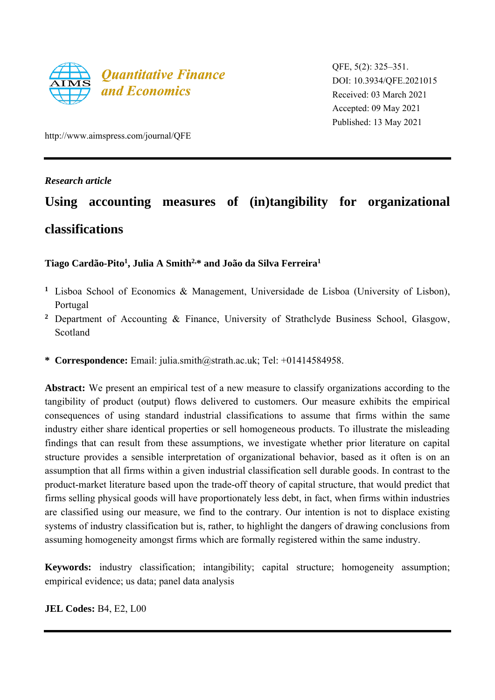

QFE, 5(2): 325–351. DOI: 10.3934/QFE.2021015 Received: 03 March 2021 Accepted: 09 May 2021 Published: 13 May 2021

http://www.aimspress.com/journal/QFE

# *Research article*

# **Using accounting measures of (in)tangibility for organizational classifications**

# **Tiago Cardão-Pito<sup>1</sup> , Julia A Smith2,\* and João da Silva Ferreira<sup>1</sup>**

- **<sup>1</sup>** Lisboa School of Economics & Management, Universidade de Lisboa (University of Lisbon), Portugal
- **<sup>2</sup>** Department of Accounting & Finance, University of Strathclyde Business School, Glasgow, Scotland
- **\* Correspondence:** Email: julia.smith@strath.ac.uk; Tel: +01414584958.

**Abstract:** We present an empirical test of a new measure to classify organizations according to the tangibility of product (output) flows delivered to customers. Our measure exhibits the empirical consequences of using standard industrial classifications to assume that firms within the same industry either share identical properties or sell homogeneous products. To illustrate the misleading findings that can result from these assumptions, we investigate whether prior literature on capital structure provides a sensible interpretation of organizational behavior, based as it often is on an assumption that all firms within a given industrial classification sell durable goods. In contrast to the product-market literature based upon the trade-off theory of capital structure, that would predict that firms selling physical goods will have proportionately less debt, in fact, when firms within industries are classified using our measure, we find to the contrary. Our intention is not to displace existing systems of industry classification but is, rather, to highlight the dangers of drawing conclusions from assuming homogeneity amongst firms which are formally registered within the same industry.

**Keywords:** industry classification; intangibility; capital structure; homogeneity assumption; empirical evidence; us data; panel data analysis

**JEL Codes:** B4, E2, L00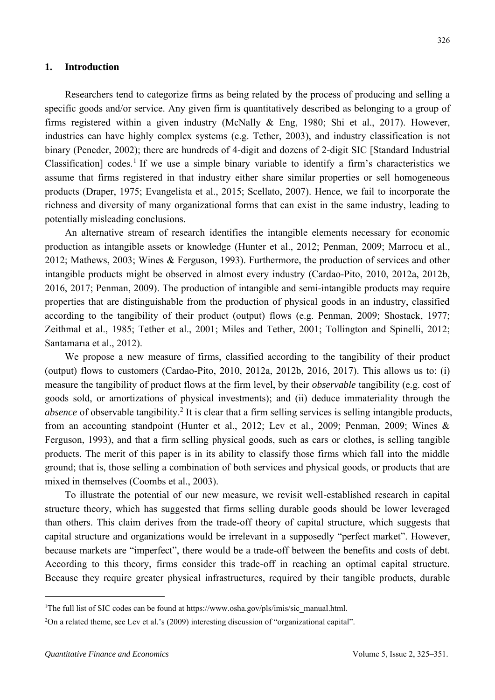Researchers tend to categorize firms as being related by the process of producing and selling a specific goods and/or service. Any given firm is quantitatively described as belonging to a group of firms registered within a given industry (McNally & Eng, 1980; Shi et al., 2017). However, industries can have highly complex systems (e.g. Tether, 2003), and industry classification is not binary (Peneder, 2002); there are hundreds of 4-digit and dozens of 2-digit SIC [Standard Industrial Classification] codes.<sup>1</sup> If we use a simple binary variable to identify a firm's characteristics we assume that firms registered in that industry either share similar properties or sell homogeneous products (Draper, 1975; Evangelista et al., 2015; Scellato, 2007). Hence, we fail to incorporate the richness and diversity of many organizational forms that can exist in the same industry, leading to potentially misleading conclusions.

An alternative stream of research identifies the intangible elements necessary for economic production as intangible assets or knowledge (Hunter et al., 2012; Penman, 2009; Marrocu et al., 2012; Mathews, 2003; Wines & Ferguson, 1993). Furthermore, the production of services and other intangible products might be observed in almost every industry (Cardao-Pito, 2010, 2012a, 2012b, 2016, 2017; Penman, 2009). The production of intangible and semi-intangible products may require properties that are distinguishable from the production of physical goods in an industry, classified according to the tangibility of their product (output) flows (e.g. Penman, 2009; Shostack, 1977; Zeithmal et al., 1985; Tether et al., 2001; Miles and Tether, 2001; Tollington and Spinelli, 2012; Santamarıa et al., 2012).

We propose a new measure of firms, classified according to the tangibility of their product (output) flows to customers (Cardao-Pito, 2010, 2012a, 2012b, 2016, 2017). This allows us to: (i) measure the tangibility of product flows at the firm level, by their *observable* tangibility (e.g. cost of goods sold, or amortizations of physical investments); and (ii) deduce immateriality through the absence of observable tangibility.<sup>2</sup> It is clear that a firm selling services is selling intangible products, from an accounting standpoint (Hunter et al., 2012; Lev et al., 2009; Penman, 2009; Wines & Ferguson, 1993), and that a firm selling physical goods, such as cars or clothes, is selling tangible products. The merit of this paper is in its ability to classify those firms which fall into the middle ground; that is, those selling a combination of both services and physical goods, or products that are mixed in themselves (Coombs et al., 2003).

To illustrate the potential of our new measure, we revisit well-established research in capital structure theory, which has suggested that firms selling durable goods should be lower leveraged than others. This claim derives from the trade-off theory of capital structure, which suggests that capital structure and organizations would be irrelevant in a supposedly "perfect market". However, because markets are "imperfect", there would be a trade-off between the benefits and costs of debt. According to this theory, firms consider this trade-off in reaching an optimal capital structure. Because they require greater physical infrastructures, required by their tangible products, durable

<sup>&</sup>lt;sup>1</sup>The full list of SIC codes can be found at https://www.osha.gov/pls/imis/sic\_manual.html.

<sup>2</sup>On a related theme, see Lev et al.'s (2009) interesting discussion of "organizational capital".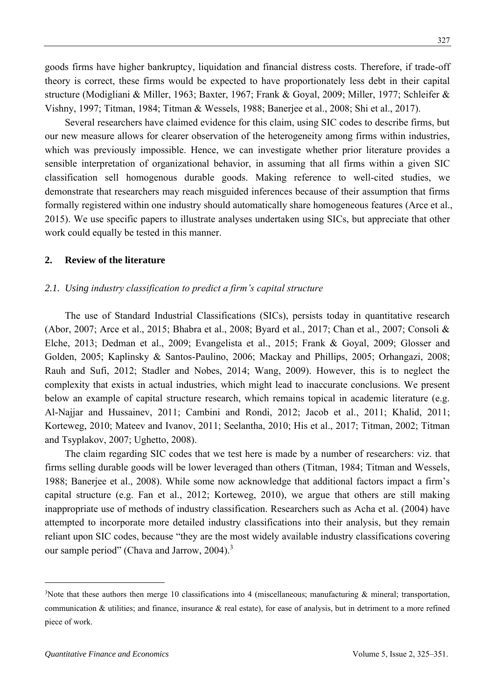goods firms have higher bankruptcy, liquidation and financial distress costs. Therefore, if trade-off theory is correct, these firms would be expected to have proportionately less debt in their capital structure (Modigliani & Miller, 1963; Baxter, 1967; Frank & Goyal, 2009; Miller, 1977; Schleifer & Vishny, 1997; Titman, 1984; Titman & Wessels, 1988; Banerjee et al., 2008; Shi et al., 2017).

Several researchers have claimed evidence for this claim, using SIC codes to describe firms, but our new measure allows for clearer observation of the heterogeneity among firms within industries, which was previously impossible. Hence, we can investigate whether prior literature provides a sensible interpretation of organizational behavior, in assuming that all firms within a given SIC classification sell homogenous durable goods. Making reference to well-cited studies, we demonstrate that researchers may reach misguided inferences because of their assumption that firms formally registered within one industry should automatically share homogeneous features (Arce et al., 2015). We use specific papers to illustrate analyses undertaken using SICs, but appreciate that other work could equally be tested in this manner.

## **2. Review of the literature**

## *2.1. Using industry classification to predict a firm's capital structure*

The use of Standard Industrial Classifications (SICs), persists today in quantitative research (Abor, 2007; Arce et al., 2015; Bhabra et al., 2008; Byard et al., 2017; Chan et al., 2007; Consoli & Elche, 2013; Dedman et al., 2009; Evangelista et al., 2015; Frank & Goyal, 2009; Glosser and Golden, 2005; Kaplinsky & Santos-Paulino, 2006; Mackay and Phillips, 2005; Orhangazi, 2008; Rauh and Sufi, 2012; Stadler and Nobes, 2014; Wang, 2009). However, this is to neglect the complexity that exists in actual industries, which might lead to inaccurate conclusions. We present below an example of capital structure research, which remains topical in academic literature (e.g. Al-Najjar and Hussainev, 2011; Cambini and Rondi, 2012; Jacob et al., 2011; Khalid, 2011; Korteweg, 2010; Mateev and Ivanov, 2011; Seelantha, 2010; His et al., 2017; Titman, 2002; Titman and Tsyplakov, 2007; Ughetto, 2008).

The claim regarding SIC codes that we test here is made by a number of researchers: viz. that firms selling durable goods will be lower leveraged than others (Titman, 1984; Titman and Wessels, 1988; Banerjee et al., 2008). While some now acknowledge that additional factors impact a firm's capital structure (e.g. Fan et al., 2012; Korteweg, 2010), we argue that others are still making inappropriate use of methods of industry classification. Researchers such as Acha et al. (2004) have attempted to incorporate more detailed industry classifications into their analysis, but they remain reliant upon SIC codes, because "they are the most widely available industry classifications covering our sample period" (Chava and Jarrow, 2004).<sup>3</sup>

<sup>&</sup>lt;sup>3</sup>Note that these authors then merge 10 classifications into 4 (miscellaneous; manufacturing  $\&$  mineral; transportation, communication  $\&$  utilities; and finance, insurance  $\&$  real estate), for ease of analysis, but in detriment to a more refined piece of work.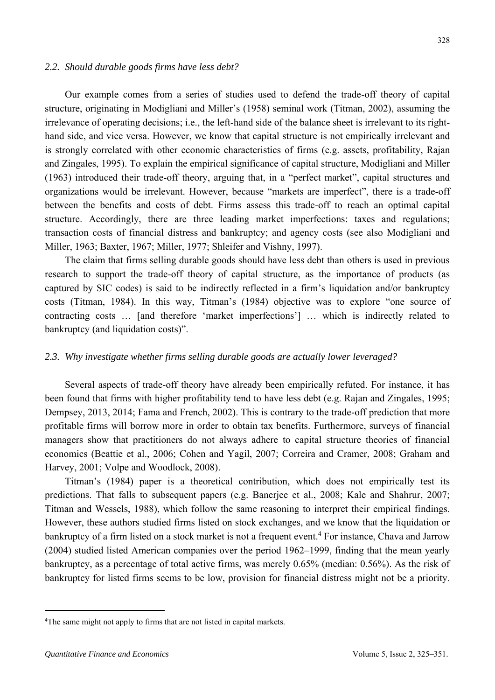#### *2.2. Should durable goods firms have less debt?*

Our example comes from a series of studies used to defend the trade-off theory of capital structure, originating in Modigliani and Miller's (1958) seminal work (Titman, 2002), assuming the irrelevance of operating decisions; i.e., the left-hand side of the balance sheet is irrelevant to its righthand side, and vice versa. However, we know that capital structure is not empirically irrelevant and is strongly correlated with other economic characteristics of firms (e.g. assets, profitability, Rajan and Zingales, 1995). To explain the empirical significance of capital structure, Modigliani and Miller (1963) introduced their trade-off theory, arguing that, in a "perfect market", capital structures and organizations would be irrelevant. However, because "markets are imperfect", there is a trade-off between the benefits and costs of debt. Firms assess this trade-off to reach an optimal capital structure. Accordingly, there are three leading market imperfections: taxes and regulations; transaction costs of financial distress and bankruptcy; and agency costs (see also Modigliani and Miller, 1963; Baxter, 1967; Miller, 1977; Shleifer and Vishny, 1997).

The claim that firms selling durable goods should have less debt than others is used in previous research to support the trade-off theory of capital structure, as the importance of products (as captured by SIC codes) is said to be indirectly reflected in a firm's liquidation and/or bankruptcy costs (Titman, 1984). In this way, Titman's (1984) objective was to explore "one source of contracting costs … [and therefore 'market imperfections'] … which is indirectly related to bankruptcy (and liquidation costs)".

## *2.3. Why investigate whether firms selling durable goods are actually lower leveraged?*

Several aspects of trade-off theory have already been empirically refuted. For instance, it has been found that firms with higher profitability tend to have less debt (e.g. Rajan and Zingales, 1995; Dempsey, 2013, 2014; Fama and French, 2002). This is contrary to the trade-off prediction that more profitable firms will borrow more in order to obtain tax benefits. Furthermore, surveys of financial managers show that practitioners do not always adhere to capital structure theories of financial economics (Beattie et al., 2006; Cohen and Yagil, 2007; Correira and Cramer, 2008; Graham and Harvey, 2001; Volpe and Woodlock, 2008).

Titman's (1984) paper is a theoretical contribution, which does not empirically test its predictions. That falls to subsequent papers (e.g. Banerjee et al., 2008; Kale and Shahrur, 2007; Titman and Wessels, 1988), which follow the same reasoning to interpret their empirical findings. However, these authors studied firms listed on stock exchanges, and we know that the liquidation or bankruptcy of a firm listed on a stock market is not a frequent event. <sup>4</sup> For instance, Chava and Jarrow (2004) studied listed American companies over the period 1962–1999, finding that the mean yearly bankruptcy, as a percentage of total active firms, was merely 0.65% (median: 0.56%). As the risk of bankruptcy for listed firms seems to be low, provision for financial distress might not be a priority.

<sup>&</sup>lt;sup>4</sup>The same might not apply to firms that are not listed in capital markets.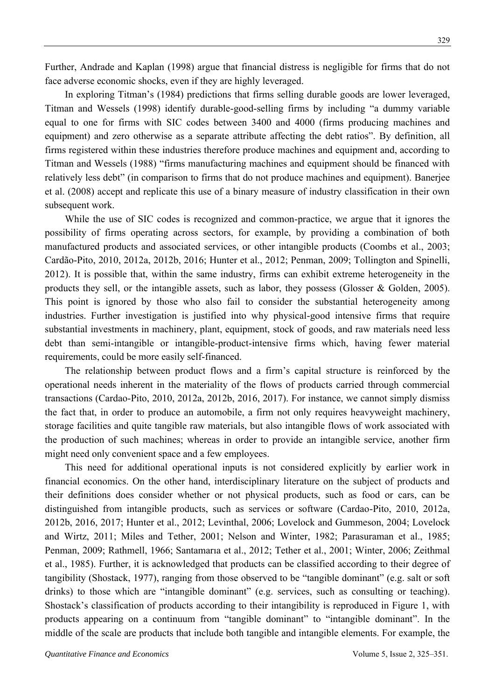Further, Andrade and Kaplan (1998) argue that financial distress is negligible for firms that do not face adverse economic shocks, even if they are highly leveraged.

In exploring Titman's (1984) predictions that firms selling durable goods are lower leveraged, Titman and Wessels (1998) identify durable-good-selling firms by including "a dummy variable equal to one for firms with SIC codes between 3400 and 4000 (firms producing machines and equipment) and zero otherwise as a separate attribute affecting the debt ratios". By definition, all firms registered within these industries therefore produce machines and equipment and, according to Titman and Wessels (1988) "firms manufacturing machines and equipment should be financed with relatively less debt" (in comparison to firms that do not produce machines and equipment). Banerjee et al. (2008) accept and replicate this use of a binary measure of industry classification in their own subsequent work.

While the use of SIC codes is recognized and common-practice, we argue that it ignores the possibility of firms operating across sectors, for example, by providing a combination of both manufactured products and associated services, or other intangible products (Coombs et al., 2003; Cardão-Pito, 2010, 2012a, 2012b, 2016; Hunter et al., 2012; Penman, 2009; Tollington and Spinelli, 2012). It is possible that, within the same industry, firms can exhibit extreme heterogeneity in the products they sell, or the intangible assets, such as labor, they possess (Glosser & Golden, 2005). This point is ignored by those who also fail to consider the substantial heterogeneity among industries. Further investigation is justified into why physical-good intensive firms that require substantial investments in machinery, plant, equipment, stock of goods, and raw materials need less debt than semi-intangible or intangible-product-intensive firms which, having fewer material requirements, could be more easily self-financed.

The relationship between product flows and a firm's capital structure is reinforced by the operational needs inherent in the materiality of the flows of products carried through commercial transactions (Cardao-Pito, 2010, 2012a, 2012b, 2016, 2017). For instance, we cannot simply dismiss the fact that, in order to produce an automobile, a firm not only requires heavyweight machinery, storage facilities and quite tangible raw materials, but also intangible flows of work associated with the production of such machines; whereas in order to provide an intangible service, another firm might need only convenient space and a few employees.

This need for additional operational inputs is not considered explicitly by earlier work in financial economics. On the other hand, interdisciplinary literature on the subject of products and their definitions does consider whether or not physical products, such as food or cars, can be distinguished from intangible products, such as services or software (Cardao-Pito, 2010, 2012a, 2012b, 2016, 2017; Hunter et al., 2012; Levinthal, 2006; Lovelock and Gummeson, 2004; Lovelock and Wirtz, 2011; Miles and Tether, 2001; Nelson and Winter, 1982; Parasuraman et al., 1985; Penman, 2009; Rathmell, 1966; Santamarıa et al., 2012; Tether et al., 2001; Winter, 2006; Zeithmal et al., 1985). Further, it is acknowledged that products can be classified according to their degree of tangibility (Shostack, 1977), ranging from those observed to be "tangible dominant" (e.g. salt or soft drinks) to those which are "intangible dominant" (e.g. services, such as consulting or teaching). Shostack's classification of products according to their intangibility is reproduced in Figure 1, with products appearing on a continuum from "tangible dominant" to "intangible dominant". In the middle of the scale are products that include both tangible and intangible elements. For example, the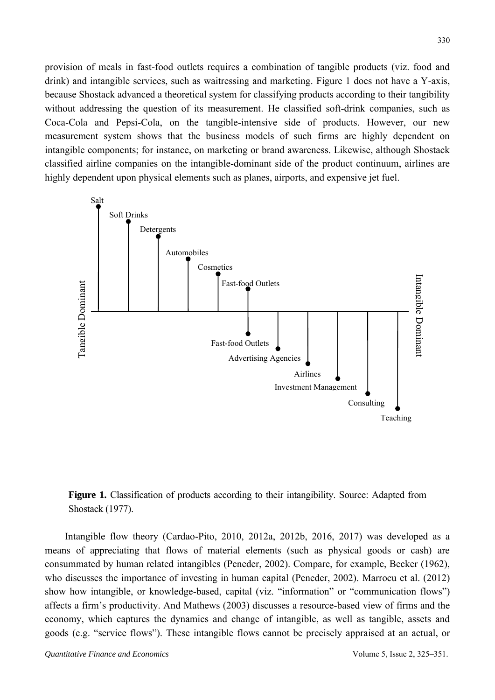provision of meals in fast-food outlets requires a combination of tangible products (viz. food and drink) and intangible services, such as waitressing and marketing. Figure 1 does not have a Y-axis, because Shostack advanced a theoretical system for classifying products according to their tangibility without addressing the question of its measurement. He classified soft-drink companies, such as Coca-Cola and Pepsi-Cola, on the tangible-intensive side of products. However, our new measurement system shows that the business models of such firms are highly dependent on intangible components; for instance, on marketing or brand awareness. Likewise, although Shostack classified airline companies on the intangible-dominant side of the product continuum, airlines are highly dependent upon physical elements such as planes, airports, and expensive jet fuel.





Intangible flow theory (Cardao-Pito, 2010, 2012a, 2012b, 2016, 2017) was developed as a means of appreciating that flows of material elements (such as physical goods or cash) are consummated by human related intangibles (Peneder, 2002). Compare, for example, Becker (1962), who discusses the importance of investing in human capital (Peneder, 2002). Marrocu et al. (2012) show how intangible, or knowledge-based, capital (viz. "information" or "communication flows") affects a firm's productivity. And Mathews (2003) discusses a resource-based view of firms and the economy, which captures the dynamics and change of intangible, as well as tangible, assets and goods (e.g. "service flows"). These intangible flows cannot be precisely appraised at an actual, or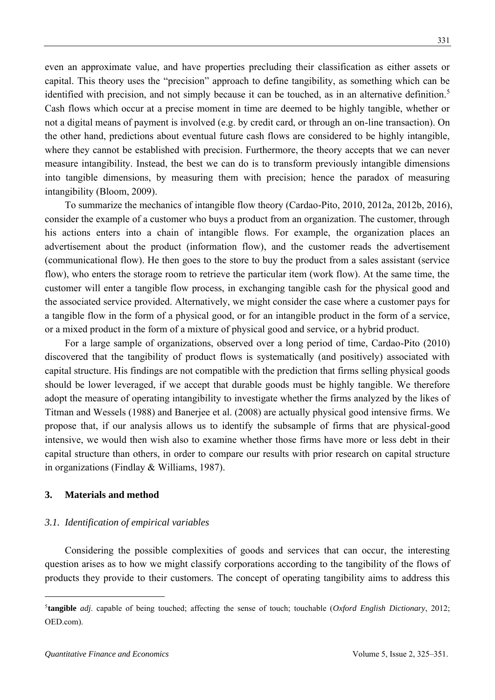even an approximate value, and have properties precluding their classification as either assets or capital. This theory uses the "precision" approach to define tangibility, as something which can be identified with precision, and not simply because it can be touched, as in an alternative definition.<sup>5</sup> Cash flows which occur at a precise moment in time are deemed to be highly tangible, whether or not a digital means of payment is involved (e.g. by credit card, or through an on-line transaction). On the other hand, predictions about eventual future cash flows are considered to be highly intangible, where they cannot be established with precision. Furthermore, the theory accepts that we can never measure intangibility. Instead, the best we can do is to transform previously intangible dimensions into tangible dimensions, by measuring them with precision; hence the paradox of measuring intangibility (Bloom, 2009).

To summarize the mechanics of intangible flow theory (Cardao-Pito, 2010, 2012a, 2012b, 2016), consider the example of a customer who buys a product from an organization. The customer, through his actions enters into a chain of intangible flows. For example, the organization places an advertisement about the product (information flow), and the customer reads the advertisement (communicational flow). He then goes to the store to buy the product from a sales assistant (service flow), who enters the storage room to retrieve the particular item (work flow). At the same time, the customer will enter a tangible flow process, in exchanging tangible cash for the physical good and the associated service provided. Alternatively, we might consider the case where a customer pays for a tangible flow in the form of a physical good, or for an intangible product in the form of a service, or a mixed product in the form of a mixture of physical good and service, or a hybrid product.

For a large sample of organizations, observed over a long period of time, Cardao-Pito (2010) discovered that the tangibility of product flows is systematically (and positively) associated with capital structure. His findings are not compatible with the prediction that firms selling physical goods should be lower leveraged, if we accept that durable goods must be highly tangible. We therefore adopt the measure of operating intangibility to investigate whether the firms analyzed by the likes of Titman and Wessels (1988) and Banerjee et al. (2008) are actually physical good intensive firms. We propose that, if our analysis allows us to identify the subsample of firms that are physical-good intensive, we would then wish also to examine whether those firms have more or less debt in their capital structure than others, in order to compare our results with prior research on capital structure in organizations (Findlay & Williams, 1987).

## **3. Materials and method**

#### *3.1. Identification of empirical variables*

Considering the possible complexities of goods and services that can occur, the interesting question arises as to how we might classify corporations according to the tangibility of the flows of products they provide to their customers. The concept of operating tangibility aims to address this

<sup>5</sup> **tangible** *adj*. capable of being touched; affecting the sense of touch; touchable (*Oxford English Dictionary*, 2012; OED.com).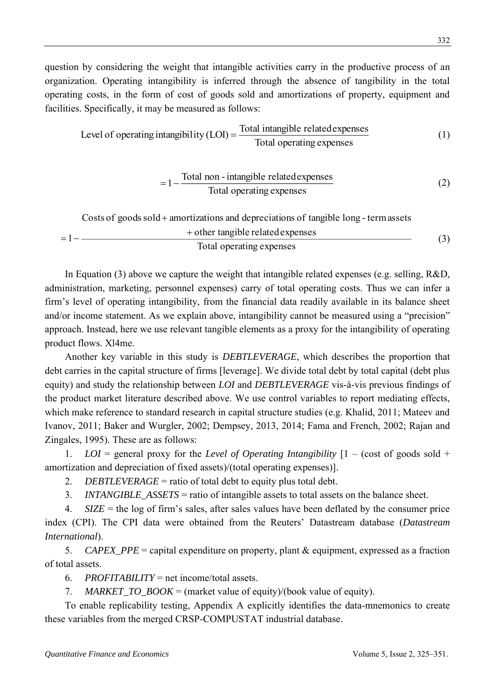question by considering the weight that intangible activities carry in the productive process of an organization. Operating intangibility is inferred through the absence of tangibility in the total operating costs, in the form of cost of goods sold and amortizations of property, equipment and facilities. Specifically, it may be measured as follows:

Level of operating intangibility 
$$
(LOI)
$$
 =  $\frac{\text{Total intangible related expenses}}{\text{Total operating expenses}}$  (1)

$$
= 1 - \frac{\text{Total non-intangled expenses}}{\text{Total operating expenses}} \tag{2}
$$

Costs of goods sold + amortizations and depreciations of tangible long-term assets

\n
$$
+ \text{other tangle expenses}
$$

\nTotal operating expenses

\n(3)

In Equation (3) above we capture the weight that intangible related expenses (e.g. selling, R&D, administration, marketing, personnel expenses) carry of total operating costs. Thus we can infer a firm's level of operating intangibility, from the financial data readily available in its balance sheet and/or income statement. As we explain above, intangibility cannot be measured using a "precision" approach. Instead, here we use relevant tangible elements as a proxy for the intangibility of operating product flows. Xl4me.

Another key variable in this study is *DEBTLEVERAGE*, which describes the proportion that debt carries in the capital structure of firms [leverage]. We divide total debt by total capital (debt plus equity) and study the relationship between *LOI* and *DEBTLEVERAGE* vis-à-vis previous findings of the product market literature described above. We use control variables to report mediating effects, which make reference to standard research in capital structure studies (e.g. Khalid, 2011; Mateev and Ivanov, 2011; Baker and Wurgler, 2002; Dempsey, 2013, 2014; Fama and French, 2002; Rajan and Zingales, 1995). These are as follows:

1. *LOI* = general proxy for the *Level of Operating Intangibility* [1 – (cost of goods sold + amortization and depreciation of fixed assets)/(total operating expenses)].

- 2. *DEBTLEVERAGE* = ratio of total debt to equity plus total debt.
- 3. *INTANGIBLE\_ASSETS* = ratio of intangible assets to total assets on the balance sheet.

4. *SIZE* = the log of firm's sales, after sales values have been deflated by the consumer price index (CPI). The CPI data were obtained from the Reuters' Datastream database (*Datastream International*).

5. *CAPEX\_PPE* = capital expenditure on property, plant & equipment, expressed as a fraction of total assets.

6. *PROFITABILITY* = net income/total assets.

7. *MARKET TO\_BOOK* = (market value of equity)/(book value of equity).

To enable replicability testing, Appendix A explicitly identifies the data-mnemonics to create these variables from the merged CRSP-COMPUSTAT industrial database.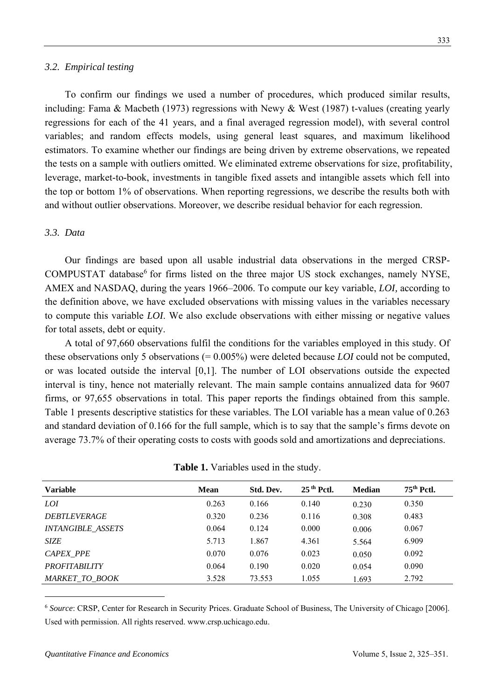#### *3.2. Empirical testing*

To confirm our findings we used a number of procedures, which produced similar results, including: Fama & Macbeth (1973) regressions with Newy & West (1987) t-values (creating yearly regressions for each of the 41 years, and a final averaged regression model), with several control variables; and random effects models, using general least squares, and maximum likelihood estimators. To examine whether our findings are being driven by extreme observations, we repeated the tests on a sample with outliers omitted. We eliminated extreme observations for size, profitability, leverage, market-to-book, investments in tangible fixed assets and intangible assets which fell into the top or bottom 1% of observations. When reporting regressions, we describe the results both with and without outlier observations. Moreover, we describe residual behavior for each regression.

## *3.3. Data*

Our findings are based upon all usable industrial data observations in the merged CRSP-COMPUSTAT database<sup>6</sup> for firms listed on the three major US stock exchanges, namely NYSE, AMEX and NASDAQ, during the years 1966–2006. To compute our key variable, *LOI,* according to the definition above, we have excluded observations with missing values in the variables necessary to compute this variable *LOI*. We also exclude observations with either missing or negative values for total assets, debt or equity.

A total of 97,660 observations fulfil the conditions for the variables employed in this study. Of these observations only 5 observations (= 0.005%) were deleted because *LOI* could not be computed, or was located outside the interval [0,1]. The number of LOI observations outside the expected interval is tiny, hence not materially relevant. The main sample contains annualized data for 9607 firms, or 97,655 observations in total. This paper reports the findings obtained from this sample. Table 1 presents descriptive statistics for these variables. The LOI variable has a mean value of 0.263 and standard deviation of 0.166 for the full sample, which is to say that the sample's firms devote on average 73.7% of their operating costs to costs with goods sold and amortizations and depreciations.

| <b>Variable</b>            | <b>Mean</b> | Std. Dev. | $25th$ Pctl. | <b>Median</b> | 75 <sup>th</sup> Pctl. |  |
|----------------------------|-------------|-----------|--------------|---------------|------------------------|--|
| <i>LOI</i>                 | 0.263       | 0.166     | 0.140        | 0.230         | 0.350                  |  |
| <i><b>DEBTLEVERAGE</b></i> | 0.320       | 0.236     | 0.116        | 0.308         | 0.483                  |  |
| <b>INTANGIBLE ASSETS</b>   | 0.064       | 0.124     | 0.000        | 0.006         | 0.067                  |  |
| <b>SIZE</b>                | 5.713       | 1.867     | 4.361        | 5.564         | 6.909                  |  |
| CAPEX PPE                  | 0.070       | 0.076     | 0.023        | 0.050         | 0.092                  |  |
| <b>PROFITABILITY</b>       | 0.064       | 0.190     | 0.020        | 0.054         | 0.090                  |  |
| <b>MARKET TO BOOK</b>      | 3.528       | 73.553    | 1.055        | 1.693         | 2.792                  |  |
|                            |             |           |              |               |                        |  |

**Table 1.** Variables used in the study.

<sup>6</sup> *Source*: CRSP, Center for Research in Security Prices. Graduate School of Business, The University of Chicago [2006]. Used with permission. All rights reserved. www.crsp.uchicago.edu.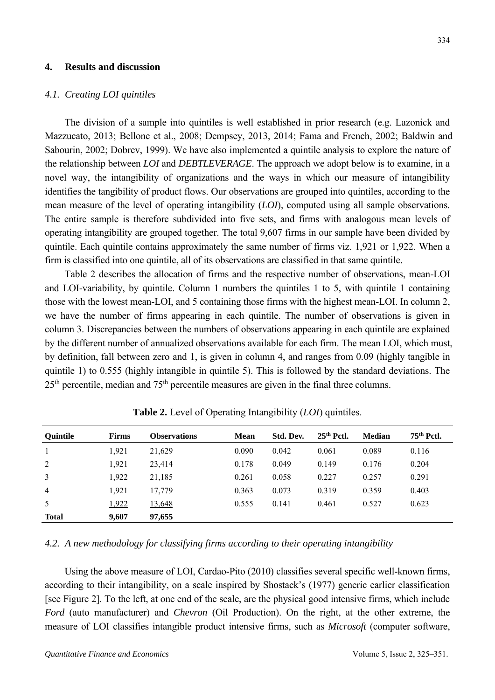#### **4. Results and discussion**

#### *4.1. Creating LOI quintiles*

The division of a sample into quintiles is well established in prior research (e.g. Lazonick and Mazzucato, 2013; Bellone et al., 2008; Dempsey, 2013, 2014; Fama and French, 2002; Baldwin and Sabourin, 2002; Dobrev, 1999). We have also implemented a quintile analysis to explore the nature of the relationship between *LOI* and *DEBTLEVERAGE*. The approach we adopt below is to examine, in a novel way, the intangibility of organizations and the ways in which our measure of intangibility identifies the tangibility of product flows. Our observations are grouped into quintiles, according to the mean measure of the level of operating intangibility (*LOI*), computed using all sample observations. The entire sample is therefore subdivided into five sets, and firms with analogous mean levels of operating intangibility are grouped together. The total 9,607 firms in our sample have been divided by quintile. Each quintile contains approximately the same number of firms viz. 1,921 or 1,922. When a firm is classified into one quintile, all of its observations are classified in that same quintile.

Table 2 describes the allocation of firms and the respective number of observations, mean-LOI and LOI-variability, by quintile. Column 1 numbers the quintiles 1 to 5, with quintile 1 containing those with the lowest mean-LOI, and 5 containing those firms with the highest mean-LOI. In column 2, we have the number of firms appearing in each quintile. The number of observations is given in column 3. Discrepancies between the numbers of observations appearing in each quintile are explained by the different number of annualized observations available for each firm. The mean LOI, which must, by definition, fall between zero and 1, is given in column 4, and ranges from 0.09 (highly tangible in quintile 1) to 0.555 (highly intangible in quintile 5). This is followed by the standard deviations. The  $25<sup>th</sup>$  percentile, median and  $75<sup>th</sup>$  percentile measures are given in the final three columns.

| <b>Quintile</b> | <b>Firms</b> | <b>Observations</b> | <b>Mean</b> | Std. Dev. | $25th$ Pctl. | <b>Median</b> | $75th$ Pctl. |
|-----------------|--------------|---------------------|-------------|-----------|--------------|---------------|--------------|
| 1               | 1,921        | 21,629              | 0.090       | 0.042     | 0.061        | 0.089         | 0.116        |
| 2               | 1,921        | 23,414              | 0.178       | 0.049     | 0.149        | 0.176         | 0.204        |
| 3               | 1,922        | 21,185              | 0.261       | 0.058     | 0.227        | 0.257         | 0.291        |
| $\overline{4}$  | 1,921        | 17,779              | 0.363       | 0.073     | 0.319        | 0.359         | 0.403        |
| 5               | 1,922        | 13,648              | 0.555       | 0.141     | 0.461        | 0.527         | 0.623        |
| <b>Total</b>    | 9,607        | 97,655              |             |           |              |               |              |

**Table 2.** Level of Operating Intangibility (*LOI*) quintiles.

## *4.2. A new methodology for classifying firms according to their operating intangibility*

Using the above measure of LOI, Cardao-Pito (2010) classifies several specific well-known firms, according to their intangibility, on a scale inspired by Shostack's (1977) generic earlier classification [see Figure 2]. To the left, at one end of the scale, are the physical good intensive firms, which include *Ford* (auto manufacturer) and *Chevron* (Oil Production). On the right, at the other extreme, the measure of LOI classifies intangible product intensive firms, such as *Microsoft* (computer software,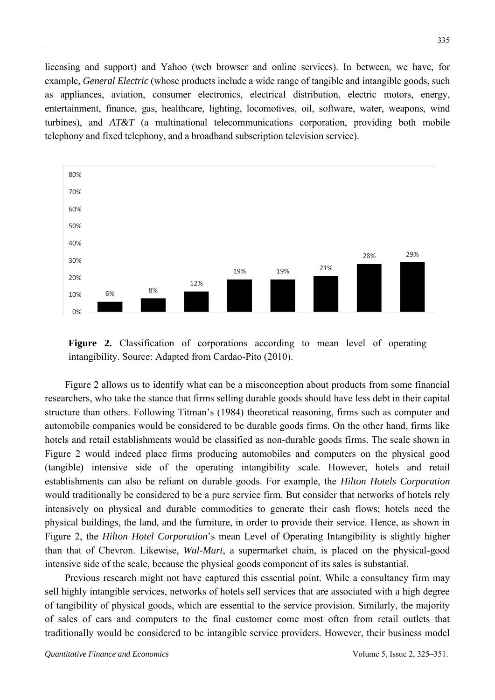licensing and support) and Yahoo (web browser and online services). In between, we have, for example, *General Electric* (whose products include a wide range of tangible and intangible goods, such as appliances, aviation, consumer electronics, electrical distribution, electric motors, energy, entertainment, finance, gas, healthcare, lighting, locomotives, oil, software, water, weapons, wind turbines), and *AT&T* (a multinational telecommunications corporation, providing both mobile telephony and fixed telephony, and a broadband subscription television service).



**Figure 2.** Classification of corporations according to mean level of operating intangibility. Source: Adapted from Cardao-Pito (2010).

Figure 2 allows us to identify what can be a misconception about products from some financial researchers, who take the stance that firms selling durable goods should have less debt in their capital structure than others. Following Titman's (1984) theoretical reasoning, firms such as computer and automobile companies would be considered to be durable goods firms. On the other hand, firms like hotels and retail establishments would be classified as non-durable goods firms. The scale shown in Figure 2 would indeed place firms producing automobiles and computers on the physical good (tangible) intensive side of the operating intangibility scale. However, hotels and retail establishments can also be reliant on durable goods. For example, the *Hilton Hotels Corporation* would traditionally be considered to be a pure service firm. But consider that networks of hotels rely intensively on physical and durable commodities to generate their cash flows; hotels need the physical buildings, the land, and the furniture, in order to provide their service. Hence, as shown in Figure 2, the *Hilton Hotel Corporation*'s mean Level of Operating Intangibility is slightly higher than that of Chevron. Likewise, *Wal-Mart*, a supermarket chain, is placed on the physical-good intensive side of the scale, because the physical goods component of its sales is substantial.

Previous research might not have captured this essential point. While a consultancy firm may sell highly intangible services, networks of hotels sell services that are associated with a high degree of tangibility of physical goods, which are essential to the service provision. Similarly, the majority of sales of cars and computers to the final customer come most often from retail outlets that traditionally would be considered to be intangible service providers. However, their business model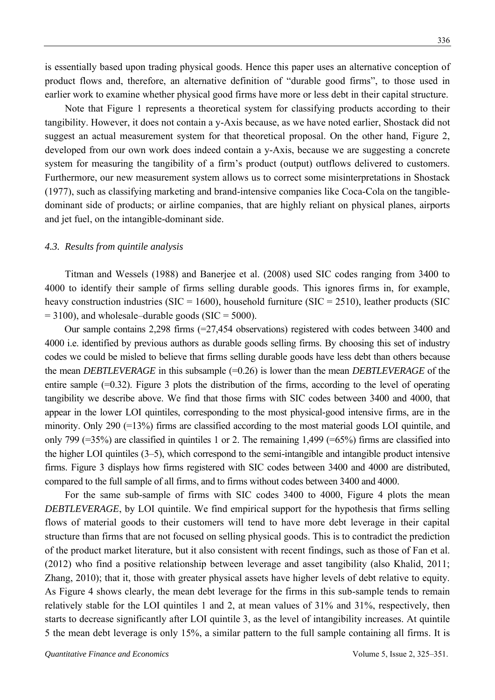is essentially based upon trading physical goods. Hence this paper uses an alternative conception of product flows and, therefore, an alternative definition of "durable good firms", to those used in earlier work to examine whether physical good firms have more or less debt in their capital structure.

Note that Figure 1 represents a theoretical system for classifying products according to their tangibility. However, it does not contain a y-Axis because, as we have noted earlier, Shostack did not suggest an actual measurement system for that theoretical proposal. On the other hand, Figure 2, developed from our own work does indeed contain a y-Axis, because we are suggesting a concrete system for measuring the tangibility of a firm's product (output) outflows delivered to customers. Furthermore, our new measurement system allows us to correct some misinterpretations in Shostack (1977), such as classifying marketing and brand-intensive companies like Coca-Cola on the tangibledominant side of products; or airline companies, that are highly reliant on physical planes, airports and jet fuel, on the intangible-dominant side.

#### *4.3. Results from quintile analysis*

Titman and Wessels (1988) and Banerjee et al. (2008) used SIC codes ranging from 3400 to 4000 to identify their sample of firms selling durable goods. This ignores firms in, for example, heavy construction industries ( $SIC = 1600$ ), household furniture ( $SIC = 2510$ ), leather products (SIC  $= 3100$ ), and wholesale–durable goods (SIC = 5000).

Our sample contains 2,298 firms (=27,454 observations) registered with codes between 3400 and 4000 i.e. identified by previous authors as durable goods selling firms. By choosing this set of industry codes we could be misled to believe that firms selling durable goods have less debt than others because the mean *DEBTLEVERAGE* in this subsample (=0.26) is lower than the mean *DEBTLEVERAGE* of the entire sample (=0.32). Figure 3 plots the distribution of the firms, according to the level of operating tangibility we describe above. We find that those firms with SIC codes between 3400 and 4000, that appear in the lower LOI quintiles, corresponding to the most physical-good intensive firms, are in the minority. Only 290 (=13%) firms are classified according to the most material goods LOI quintile, and only 799 (=35%) are classified in quintiles 1 or 2. The remaining 1,499 (=65%) firms are classified into the higher LOI quintiles (3–5), which correspond to the semi-intangible and intangible product intensive firms. Figure 3 displays how firms registered with SIC codes between 3400 and 4000 are distributed, compared to the full sample of all firms, and to firms without codes between 3400 and 4000.

For the same sub-sample of firms with SIC codes 3400 to 4000, Figure 4 plots the mean *DEBTLEVERAGE*, by LOI quintile. We find empirical support for the hypothesis that firms selling flows of material goods to their customers will tend to have more debt leverage in their capital structure than firms that are not focused on selling physical goods. This is to contradict the prediction of the product market literature, but it also consistent with recent findings, such as those of Fan et al. (2012) who find a positive relationship between leverage and asset tangibility (also Khalid, 2011; Zhang, 2010); that it, those with greater physical assets have higher levels of debt relative to equity. As Figure 4 shows clearly, the mean debt leverage for the firms in this sub-sample tends to remain relatively stable for the LOI quintiles 1 and 2, at mean values of 31% and 31%, respectively, then starts to decrease significantly after LOI quintile 3, as the level of intangibility increases. At quintile 5 the mean debt leverage is only 15%, a similar pattern to the full sample containing all firms. It is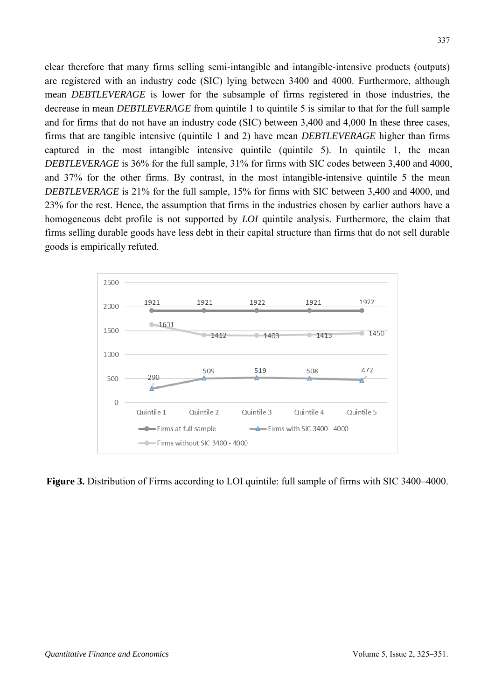clear therefore that many firms selling semi-intangible and intangible-intensive products (outputs) are registered with an industry code (SIC) lying between 3400 and 4000. Furthermore, although mean *DEBTLEVERAGE* is lower for the subsample of firms registered in those industries, the decrease in mean *DEBTLEVERAGE* from quintile 1 to quintile 5 is similar to that for the full sample and for firms that do not have an industry code (SIC) between 3,400 and 4,000 In these three cases, firms that are tangible intensive (quintile 1 and 2) have mean *DEBTLEVERAGE* higher than firms captured in the most intangible intensive quintile (quintile 5). In quintile 1, the mean *DEBTLEVERAGE* is 36% for the full sample, 31% for firms with SIC codes between 3,400 and 4000, and 37% for the other firms. By contrast, in the most intangible-intensive quintile 5 the mean *DEBTLEVERAGE* is 21% for the full sample, 15% for firms with SIC between 3,400 and 4000, and 23% for the rest. Hence, the assumption that firms in the industries chosen by earlier authors have a homogeneous debt profile is not supported by *LOI* quintile analysis. Furthermore, the claim that firms selling durable goods have less debt in their capital structure than firms that do not sell durable goods is empirically refuted.



**Figure 3.** Distribution of Firms according to LOI quintile: full sample of firms with SIC 3400–4000.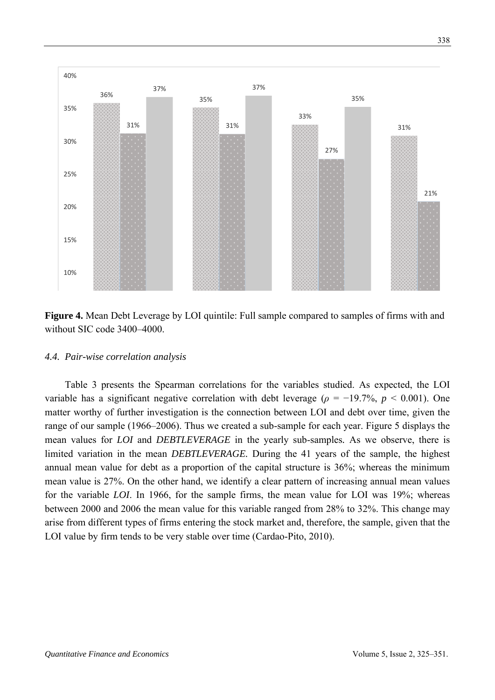



#### *4.4. Pair-wise correlation analysis*

Table 3 presents the Spearman correlations for the variables studied. As expected, the LOI variable has a significant negative correlation with debt leverage ( $\rho = -19.7\%$ ,  $p < 0.001$ ). One matter worthy of further investigation is the connection between LOI and debt over time, given the range of our sample (1966–2006). Thus we created a sub-sample for each year. Figure 5 displays the mean values for *LOI* and *DEBTLEVERAGE* in the yearly sub-samples*.* As we observe, there is limited variation in the mean *DEBTLEVERAGE.* During the 41 years of the sample, the highest annual mean value for debt as a proportion of the capital structure is 36%; whereas the minimum mean value is 27%. On the other hand, we identify a clear pattern of increasing annual mean values for the variable *LOI*. In 1966, for the sample firms, the mean value for LOI was 19%; whereas between 2000 and 2006 the mean value for this variable ranged from 28% to 32%. This change may arise from different types of firms entering the stock market and, therefore, the sample, given that the LOI value by firm tends to be very stable over time (Cardao-Pito, 2010).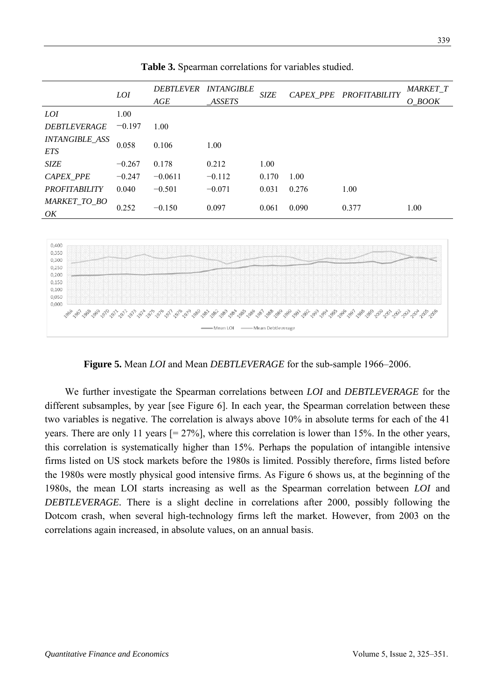|                                     | <i>LOI</i> | AGE       | DEBTLEVER INTANGIBLE<br>ASSETS | SIZE  |       | CAPEX PPE PROFITABILITY | <b>MARKET T</b><br>O BOOK |
|-------------------------------------|------------|-----------|--------------------------------|-------|-------|-------------------------|---------------------------|
| <i>LOI</i>                          | 1.00       |           |                                |       |       |                         |                           |
| <b>DEBTLEVERAGE</b>                 | $-0.197$   | 1.00      |                                |       |       |                         |                           |
| <b>INTANGIBLE_ASS</b><br><b>ETS</b> | 0.058      | 0.106     | 1.00                           |       |       |                         |                           |
| <b>SIZE</b>                         | $-0.267$   | 0.178     | 0.212                          | 1.00  |       |                         |                           |
| <b>CAPEX PPE</b>                    | $-0.247$   | $-0.0611$ | $-0.112$                       | 0.170 | 1.00  |                         |                           |
| <b>PROFITABILITY</b>                | 0.040      | $-0.501$  | $-0.071$                       | 0.031 | 0.276 | 1.00                    |                           |
| MARKET TO BO<br>OK                  | 0.252      | $-0.150$  | 0.097                          | 0.061 | 0.090 | 0.377                   | 1.00                      |
|                                     |            |           |                                |       |       |                         |                           |
| 0.100                               |            |           |                                |       |       |                         |                           |

**Table 3.** Spearman correlations for variables studied.



**Figure 5.** Mean *LOI* and Mean *DEBTLEVERAGE* for the sub-sample 1966–2006.

We further investigate the Spearman correlations between *LOI* and *DEBTLEVERAGE* for the different subsamples, by year [see Figure 6]. In each year, the Spearman correlation between these two variables is negative. The correlation is always above 10% in absolute terms for each of the 41 years. There are only 11 years [= 27%], where this correlation is lower than 15%. In the other years, this correlation is systematically higher than 15%. Perhaps the population of intangible intensive firms listed on US stock markets before the 1980s is limited. Possibly therefore, firms listed before the 1980s were mostly physical good intensive firms. As Figure 6 shows us, at the beginning of the 1980s, the mean LOI starts increasing as well as the Spearman correlation between *LOI* and *DEBTLEVERAGE.* There is a slight decline in correlations after 2000, possibly following the Dotcom crash, when several high-technology firms left the market. However, from 2003 on the correlations again increased, in absolute values, on an annual basis.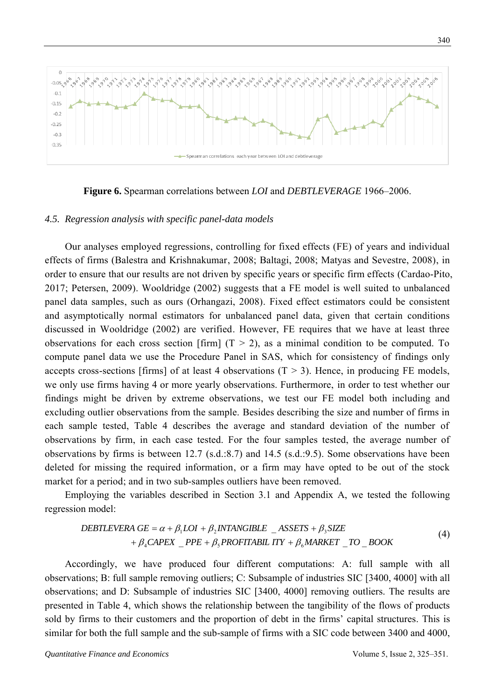

**Figure 6.** Spearman correlations between *LOI* and *DEBTLEVERAGE* 1966–2006.

#### *4.5. Regression analysis with specific panel-data models*

Our analyses employed regressions, controlling for fixed effects (FE) of years and individual effects of firms (Balestra and Krishnakumar, 2008; Baltagi, 2008; Matyas and Sevestre, 2008), in order to ensure that our results are not driven by specific years or specific firm effects (Cardao-Pito, 2017; Petersen, 2009). Wooldridge (2002) suggests that a FE model is well suited to unbalanced panel data samples, such as ours (Orhangazi, 2008). Fixed effect estimators could be consistent and asymptotically normal estimators for unbalanced panel data, given that certain conditions discussed in Wooldridge (2002) are verified. However, FE requires that we have at least three observations for each cross section [firm]  $(T > 2)$ , as a minimal condition to be computed. To compute panel data we use the Procedure Panel in SAS, which for consistency of findings only accepts cross-sections [firms] of at least 4 observations  $(T > 3)$ . Hence, in producing FE models, we only use firms having 4 or more yearly observations. Furthermore, in order to test whether our findings might be driven by extreme observations, we test our FE model both including and excluding outlier observations from the sample. Besides describing the size and number of firms in each sample tested, Table 4 describes the average and standard deviation of the number of observations by firm, in each case tested. For the four samples tested, the average number of observations by firms is between 12.7 (s.d.:8.7) and 14.5 (s.d.:9.5). Some observations have been deleted for missing the required information, or a firm may have opted to be out of the stock market for a period; and in two sub-samples outliers have been removed.

Employing the variables described in Section 3.1 and Appendix A, we tested the following regression model:

$$
DEBTLEVERA GE = \alpha + \beta_1 LOI + \beta_2 INTANGIBLE \quad \_ASSETS + \beta_3 SIZE + \beta_4 CAPEX \quad PPE + \beta_5 PROFITABIL ITY + \beta_6 MARKET \quad TO \quad BOOK
$$
 (4)

Accordingly, we have produced four different computations: A: full sample with all observations; B: full sample removing outliers; C: Subsample of industries SIC [3400, 4000] with all observations; and D: Subsample of industries SIC [3400, 4000] removing outliers. The results are presented in Table 4, which shows the relationship between the tangibility of the flows of products sold by firms to their customers and the proportion of debt in the firms' capital structures. This is similar for both the full sample and the sub-sample of firms with a SIC code between 3400 and 4000,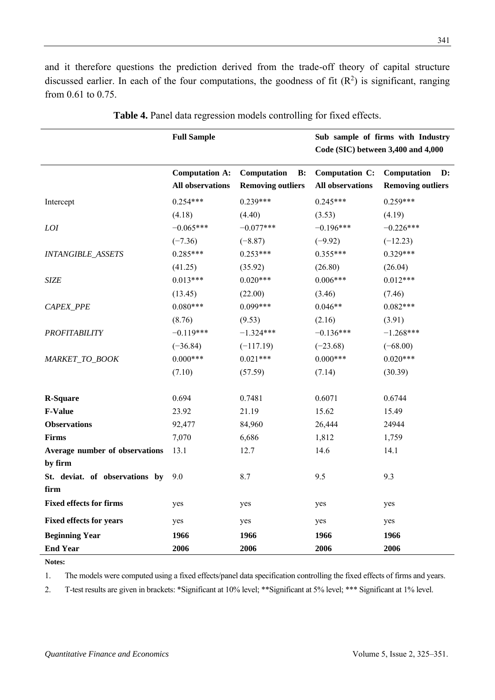and it therefore questions the prediction derived from the trade-off theory of capital structure discussed earlier. In each of the four computations, the goodness of fit  $(R^2)$  is significant, ranging from 0.61 to 0.75.

|                                | <b>Full Sample</b>                               |                                               | Sub sample of firms with Industry<br>Code (SIC) between 3,400 and 4,000 |                                               |  |  |
|--------------------------------|--------------------------------------------------|-----------------------------------------------|-------------------------------------------------------------------------|-----------------------------------------------|--|--|
|                                | <b>Computation A:</b><br><b>All observations</b> | Computation<br>B:<br><b>Removing outliers</b> | Computation C:<br><b>All observations</b>                               | Computation<br>D:<br><b>Removing outliers</b> |  |  |
| Intercept                      | $0.254***$                                       | $0.239***$                                    | $0.245***$                                                              | $0.259***$                                    |  |  |
|                                | (4.18)                                           | (4.40)                                        | (3.53)                                                                  | (4.19)                                        |  |  |
| LOI                            | $-0.065***$                                      | $-0.077***$                                   | $-0.196***$                                                             | $-0.226***$                                   |  |  |
|                                | $(-7.36)$                                        | $(-8.87)$                                     | $(-9.92)$                                                               | $(-12.23)$                                    |  |  |
| <b>INTANGIBLE_ASSETS</b>       | $0.285***$                                       | $0.253***$                                    | $0.355***$                                                              | $0.329***$                                    |  |  |
|                                | (41.25)                                          | (35.92)                                       | (26.80)                                                                 | (26.04)                                       |  |  |
| <b>SIZE</b>                    | $0.013***$                                       | $0.020***$                                    | $0.006***$                                                              | $0.012***$                                    |  |  |
|                                | (13.45)                                          | (22.00)                                       | (3.46)                                                                  | (7.46)                                        |  |  |
| CAPEX_PPE                      | $0.080***$                                       | $0.099***$                                    | $0.046**$                                                               | $0.082***$                                    |  |  |
|                                | (8.76)                                           | (9.53)                                        | (2.16)                                                                  | (3.91)                                        |  |  |
| <b>PROFITABILITY</b>           | $-0.119***$                                      | $-1.324***$                                   | $-0.136***$                                                             | $-1.268***$                                   |  |  |
|                                | $(-36.84)$                                       | $(-117.19)$                                   | $(-23.68)$                                                              | $(-68.00)$                                    |  |  |
| MARKET_TO_BOOK                 | $0.000***$                                       | $0.021***$                                    | $0.000***$                                                              | $0.020***$                                    |  |  |
|                                | (7.10)                                           | (57.59)                                       | (7.14)                                                                  | (30.39)                                       |  |  |
| <b>R-Square</b>                | 0.694                                            | 0.7481                                        | 0.6071                                                                  | 0.6744                                        |  |  |
| <b>F-Value</b>                 | 23.92                                            | 21.19                                         | 15.62                                                                   | 15.49                                         |  |  |
| <b>Observations</b>            | 92,477                                           | 84,960                                        | 26,444                                                                  | 24944                                         |  |  |
| <b>Firms</b>                   | 7,070                                            | 6,686                                         | 1,812                                                                   | 1,759                                         |  |  |
| Average number of observations | 13.1                                             | 12.7                                          | 14.6                                                                    | 14.1                                          |  |  |
| by firm                        |                                                  |                                               |                                                                         |                                               |  |  |
| St. deviat. of observations by | 9.0                                              | 8.7                                           | 9.5                                                                     | 9.3                                           |  |  |
| firm                           |                                                  |                                               |                                                                         |                                               |  |  |
| <b>Fixed effects for firms</b> | yes                                              | yes                                           | yes                                                                     | yes                                           |  |  |
| <b>Fixed effects for years</b> | yes                                              | yes                                           | yes                                                                     | yes                                           |  |  |
| <b>Beginning Year</b>          | 1966                                             | 1966                                          | 1966                                                                    | 1966                                          |  |  |
| <b>End Year</b>                | 2006                                             | 2006                                          | 2006                                                                    | 2006                                          |  |  |

| Table 4. Panel data regression models controlling for fixed effects. |  |  |  |  |  |  |
|----------------------------------------------------------------------|--|--|--|--|--|--|
|----------------------------------------------------------------------|--|--|--|--|--|--|

**Notes:** 

1. The models were computed using a fixed effects/panel data specification controlling the fixed effects of firms and years.

2. T-test results are given in brackets: \*Significant at 10% level; \*\*Significant at 5% level; \*\*\* Significant at 1% level.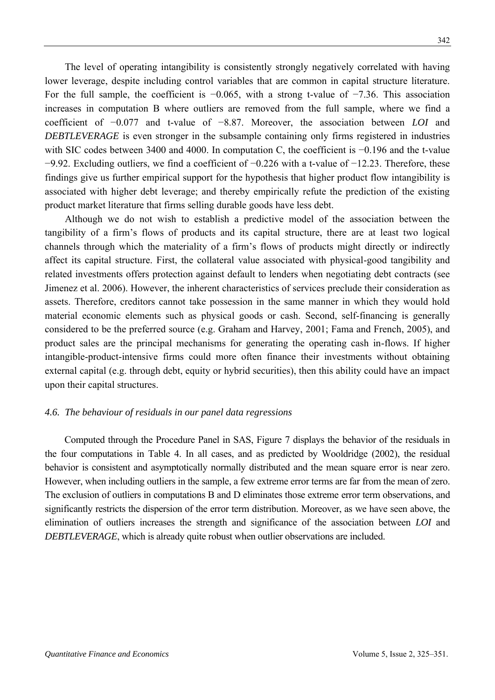The level of operating intangibility is consistently strongly negatively correlated with having lower leverage, despite including control variables that are common in capital structure literature. For the full sample, the coefficient is −0.065, with a strong t-value of −7.36. This association increases in computation B where outliers are removed from the full sample, where we find a coefficient of −0.077 and t-value of −8.87. Moreover, the association between *LOI* and *DEBTLEVERAGE* is even stronger in the subsample containing only firms registered in industries with SIC codes between 3400 and 4000. In computation C, the coefficient is −0.196 and the t-value −9.92. Excluding outliers, we find a coefficient of −0.226 with a t-value of −12.23. Therefore, these findings give us further empirical support for the hypothesis that higher product flow intangibility is associated with higher debt leverage; and thereby empirically refute the prediction of the existing product market literature that firms selling durable goods have less debt.

Although we do not wish to establish a predictive model of the association between the tangibility of a firm's flows of products and its capital structure, there are at least two logical channels through which the materiality of a firm's flows of products might directly or indirectly affect its capital structure. First, the collateral value associated with physical-good tangibility and related investments offers protection against default to lenders when negotiating debt contracts (see Jimenez et al. 2006). However, the inherent characteristics of services preclude their consideration as assets. Therefore, creditors cannot take possession in the same manner in which they would hold material economic elements such as physical goods or cash. Second, self-financing is generally considered to be the preferred source (e.g. Graham and Harvey, 2001; Fama and French, 2005), and product sales are the principal mechanisms for generating the operating cash in-flows. If higher intangible-product-intensive firms could more often finance their investments without obtaining external capital (e.g. through debt, equity or hybrid securities), then this ability could have an impact upon their capital structures.

## *4.6. The behaviour of residuals in our panel data regressions*

Computed through the Procedure Panel in SAS, Figure 7 displays the behavior of the residuals in the four computations in Table 4. In all cases, and as predicted by Wooldridge (2002), the residual behavior is consistent and asymptotically normally distributed and the mean square error is near zero. However, when including outliers in the sample, a few extreme error terms are far from the mean of zero. The exclusion of outliers in computations B and D eliminates those extreme error term observations, and significantly restricts the dispersion of the error term distribution. Moreover, as we have seen above, the elimination of outliers increases the strength and significance of the association between *LOI* and *DEBTLEVERAGE*, which is already quite robust when outlier observations are included.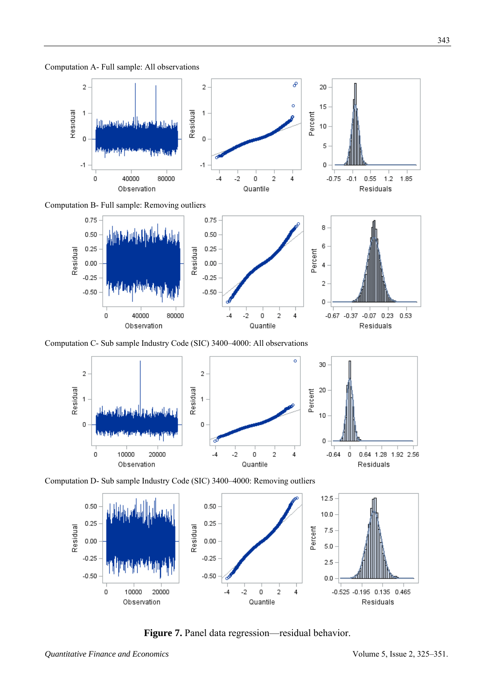Computation A- Full sample: All observations



Computation B- Full sample: Removing outliers



Computation C- Sub sample Industry Code (SIC) 3400–4000: All observations



Computation D- Sub sample Industry Code (SIC) 3400–4000: Removing outliers



**Figure 7.** Panel data regression—residual behavior.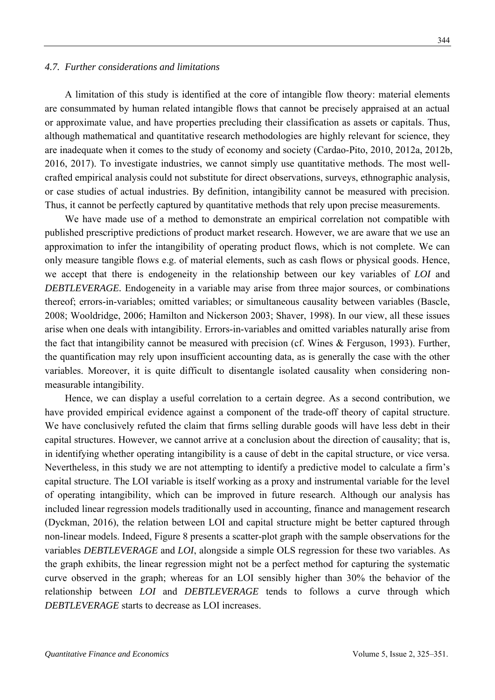#### *4.7. Further considerations and limitations*

A limitation of this study is identified at the core of intangible flow theory: material elements are consummated by human related intangible flows that cannot be precisely appraised at an actual or approximate value, and have properties precluding their classification as assets or capitals. Thus, although mathematical and quantitative research methodologies are highly relevant for science, they are inadequate when it comes to the study of economy and society (Cardao-Pito, 2010, 2012a, 2012b, 2016, 2017). To investigate industries, we cannot simply use quantitative methods. The most wellcrafted empirical analysis could not substitute for direct observations, surveys, ethnographic analysis, or case studies of actual industries. By definition, intangibility cannot be measured with precision. Thus, it cannot be perfectly captured by quantitative methods that rely upon precise measurements.

We have made use of a method to demonstrate an empirical correlation not compatible with published prescriptive predictions of product market research. However, we are aware that we use an approximation to infer the intangibility of operating product flows, which is not complete. We can only measure tangible flows e.g. of material elements, such as cash flows or physical goods. Hence, we accept that there is endogeneity in the relationship between our key variables of *LOI* and *DEBTLEVERAGE.* Endogeneity in a variable may arise from three major sources, or combinations thereof; errors-in-variables; omitted variables; or simultaneous causality between variables (Bascle, 2008; Wooldridge, 2006; Hamilton and Nickerson 2003; Shaver, 1998). In our view, all these issues arise when one deals with intangibility. Errors-in-variables and omitted variables naturally arise from the fact that intangibility cannot be measured with precision (cf. Wines & Ferguson, 1993). Further, the quantification may rely upon insufficient accounting data, as is generally the case with the other variables. Moreover, it is quite difficult to disentangle isolated causality when considering nonmeasurable intangibility.

Hence, we can display a useful correlation to a certain degree. As a second contribution, we have provided empirical evidence against a component of the trade-off theory of capital structure. We have conclusively refuted the claim that firms selling durable goods will have less debt in their capital structures. However, we cannot arrive at a conclusion about the direction of causality; that is, in identifying whether operating intangibility is a cause of debt in the capital structure, or vice versa. Nevertheless, in this study we are not attempting to identify a predictive model to calculate a firm's capital structure. The LOI variable is itself working as a proxy and instrumental variable for the level of operating intangibility, which can be improved in future research. Although our analysis has included linear regression models traditionally used in accounting, finance and management research (Dyckman, 2016), the relation between LOI and capital structure might be better captured through non-linear models. Indeed, Figure 8 presents a scatter-plot graph with the sample observations for the variables *DEBTLEVERAGE* and *LOI*, alongside a simple OLS regression for these two variables. As the graph exhibits, the linear regression might not be a perfect method for capturing the systematic curve observed in the graph; whereas for an LOI sensibly higher than 30% the behavior of the relationship between *LOI* and *DEBTLEVERAGE* tends to follows a curve through which *DEBTLEVERAGE* starts to decrease as LOI increases.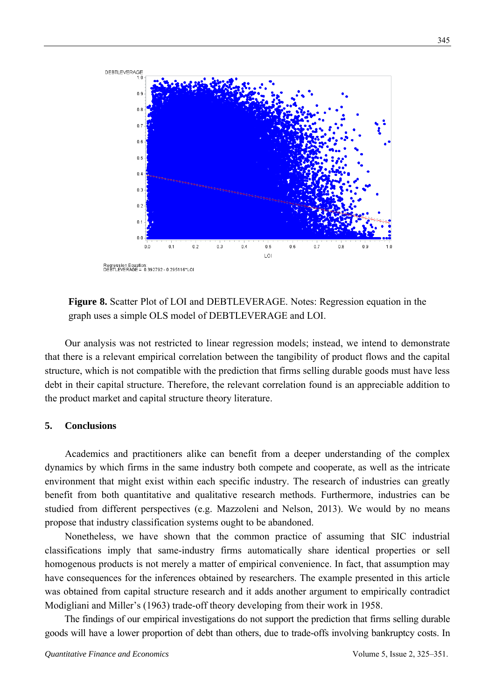

**Figure 8.** Scatter Plot of LOI and DEBTLEVERAGE. Notes: Regression equation in the graph uses a simple OLS model of DEBTLEVERAGE and LOI.

Our analysis was not restricted to linear regression models; instead, we intend to demonstrate that there is a relevant empirical correlation between the tangibility of product flows and the capital structure, which is not compatible with the prediction that firms selling durable goods must have less debt in their capital structure. Therefore, the relevant correlation found is an appreciable addition to the product market and capital structure theory literature.

## **5. Conclusions**

Academics and practitioners alike can benefit from a deeper understanding of the complex dynamics by which firms in the same industry both compete and cooperate, as well as the intricate environment that might exist within each specific industry. The research of industries can greatly benefit from both quantitative and qualitative research methods. Furthermore, industries can be studied from different perspectives (e.g. Mazzoleni and Nelson, 2013). We would by no means propose that industry classification systems ought to be abandoned.

Nonetheless, we have shown that the common practice of assuming that SIC industrial classifications imply that same-industry firms automatically share identical properties or sell homogenous products is not merely a matter of empirical convenience. In fact, that assumption may have consequences for the inferences obtained by researchers. The example presented in this article was obtained from capital structure research and it adds another argument to empirically contradict Modigliani and Miller's (1963) trade-off theory developing from their work in 1958.

The findings of our empirical investigations do not support the prediction that firms selling durable goods will have a lower proportion of debt than others, due to trade-offs involving bankruptcy costs. In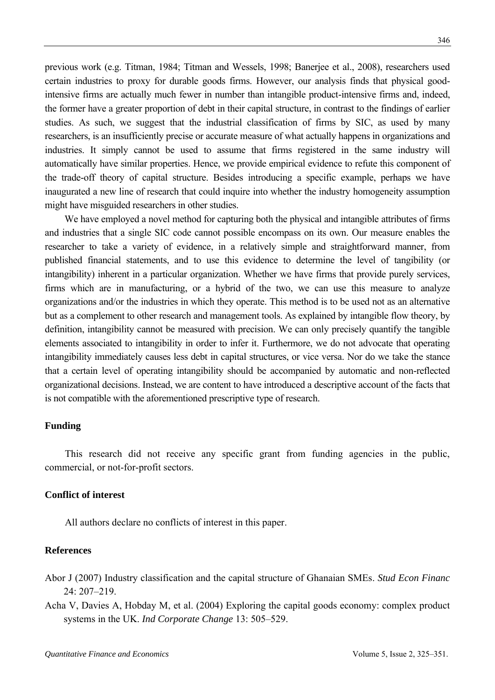previous work (e.g. Titman, 1984; Titman and Wessels, 1998; Banerjee et al., 2008), researchers used certain industries to proxy for durable goods firms. However, our analysis finds that physical goodintensive firms are actually much fewer in number than intangible product-intensive firms and, indeed, the former have a greater proportion of debt in their capital structure, in contrast to the findings of earlier studies. As such, we suggest that the industrial classification of firms by SIC, as used by many researchers, is an insufficiently precise or accurate measure of what actually happens in organizations and industries. It simply cannot be used to assume that firms registered in the same industry will automatically have similar properties. Hence, we provide empirical evidence to refute this component of the trade-off theory of capital structure. Besides introducing a specific example, perhaps we have inaugurated a new line of research that could inquire into whether the industry homogeneity assumption might have misguided researchers in other studies.

We have employed a novel method for capturing both the physical and intangible attributes of firms and industries that a single SIC code cannot possible encompass on its own. Our measure enables the researcher to take a variety of evidence, in a relatively simple and straightforward manner, from published financial statements, and to use this evidence to determine the level of tangibility (or intangibility) inherent in a particular organization. Whether we have firms that provide purely services, firms which are in manufacturing, or a hybrid of the two, we can use this measure to analyze organizations and/or the industries in which they operate. This method is to be used not as an alternative but as a complement to other research and management tools. As explained by intangible flow theory, by definition, intangibility cannot be measured with precision. We can only precisely quantify the tangible elements associated to intangibility in order to infer it. Furthermore, we do not advocate that operating intangibility immediately causes less debt in capital structures, or vice versa. Nor do we take the stance that a certain level of operating intangibility should be accompanied by automatic and non-reflected organizational decisions. Instead, we are content to have introduced a descriptive account of the facts that is not compatible with the aforementioned prescriptive type of research.

#### **Funding**

This research did not receive any specific grant from funding agencies in the public, commercial, or not-for-profit sectors.

## **Conflict of interest**

All authors declare no conflicts of interest in this paper.

#### **References**

- Abor J (2007) Industry classification and the capital structure of Ghanaian SMEs. *Stud Econ Financ* 24: 207–219.
- Acha V, Davies A, Hobday M, et al. (2004) Exploring the capital goods economy: complex product systems in the UK. *Ind Corporate Change* 13: 505–529.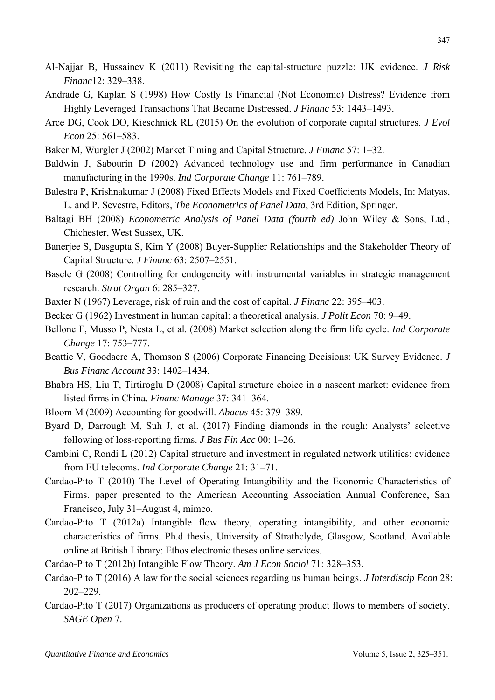- Al-Najjar B, Hussainev K (2011) Revisiting the capital-structure puzzle: UK evidence. *J Risk Financ*12: 329–338.
- Andrade G, Kaplan S (1998) How Costly Is Financial (Not Economic) Distress? Evidence from Highly Leveraged Transactions That Became Distressed. *J Financ* 53: 1443–1493.
- Arce DG, Cook DO, Kieschnick RL (2015) On the evolution of corporate capital structures. *J Evol Econ* 25: 561–583.
- Baker M, Wurgler J (2002) Market Timing and Capital Structure. *J Financ* 57: 1–32.
- Baldwin J, Sabourin D (2002) Advanced technology use and firm performance in Canadian manufacturing in the 1990s. *Ind Corporate Change* 11: 761–789.
- Balestra P, Krishnakumar J (2008) Fixed Effects Models and Fixed Coefficients Models, In: Matyas, L. and P. Sevestre, Editors, *The Econometrics of Panel Data*, 3rd Edition, Springer.
- Baltagi BH (2008) *Econometric Analysis of Panel Data (fourth ed)* John Wiley & Sons, Ltd., Chichester, West Sussex, UK.
- Banerjee S, Dasgupta S, Kim Y (2008) Buyer-Supplier Relationships and the Stakeholder Theory of Capital Structure. *J Financ* 63: 2507–2551.
- Bascle G (2008) Controlling for endogeneity with instrumental variables in strategic management research. *Strat Organ* 6: 285–327.
- Baxter N (1967) Leverage, risk of ruin and the cost of capital. *J Financ* 22: 395–403.
- Becker G (1962) Investment in human capital: a theoretical analysis. *J Polit Econ* 70: 9–49.
- Bellone F, Musso P, Nesta L, et al. (2008) Market selection along the firm life cycle. *Ind Corporate Change* 17: 753–777.
- Beattie V, Goodacre A, Thomson S (2006) Corporate Financing Decisions: UK Survey Evidence. *J Bus Financ Account* 33: 1402–1434.
- Bhabra HS, Liu T, Tirtiroglu D (2008) Capital structure choice in a nascent market: evidence from listed firms in China. *Financ Manage* 37: 341–364.
- Bloom M (2009) Accounting for goodwill. *Abacus* 45: 379–389.
- Byard D, Darrough M, Suh J, et al. (2017) Finding diamonds in the rough: Analysts' selective following of loss-reporting firms. *J Bus Fin Acc* 00: 1–26.
- Cambini C, Rondi L (2012) Capital structure and investment in regulated network utilities: evidence from EU telecoms. *Ind Corporate Change* 21: 31–71.
- Cardao-Pito T (2010) The Level of Operating Intangibility and the Economic Characteristics of Firms. paper presented to the American Accounting Association Annual Conference, San Francisco, July 31–August 4, mimeo.
- Cardao-Pito T (2012a) Intangible flow theory, operating intangibility, and other economic characteristics of firms. Ph.d thesis, University of Strathclyde, Glasgow, Scotland. Available online at British Library: Ethos electronic theses online services.
- Cardao-Pito T (2012b) Intangible Flow Theory. *Am J Econ Sociol* 71: 328–353.
- Cardao-Pito T (2016) A law for the social sciences regarding us human beings. *J Interdiscip Econ* 28: 202–229.
- Cardao-Pito T (2017) Organizations as producers of operating product flows to members of society. *SAGE Open* 7.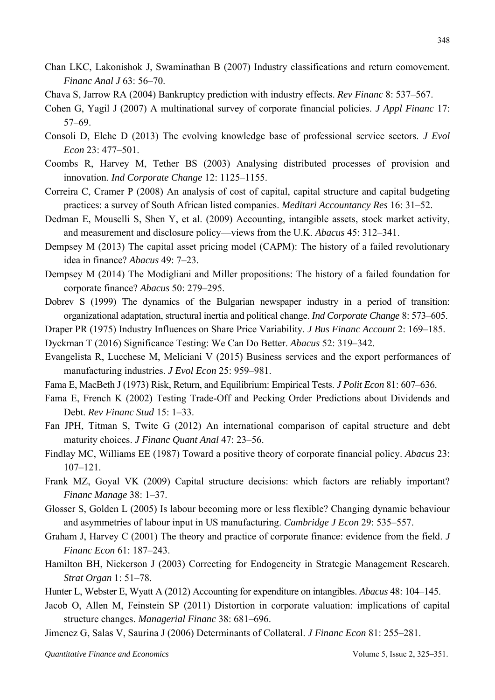- Chan LKC, Lakonishok J, Swaminathan B (2007) Industry classifications and return comovement. *Financ Anal J* 63: 56–70.
- Chava S, Jarrow RA (2004) Bankruptcy prediction with industry effects. *Rev Financ* 8: 537–567.
- Cohen G, Yagil J (2007) A multinational survey of corporate financial policies. *J Appl Financ* 17: 57–69.
- Consoli D, Elche D (2013) The evolving knowledge base of professional service sectors. *J Evol Econ* 23: 477–501.
- Coombs R, Harvey M, Tether BS (2003) Analysing distributed processes of provision and innovation. *Ind Corporate Change* 12: 1125–1155.
- Correira C, Cramer P (2008) An analysis of cost of capital, capital structure and capital budgeting practices: a survey of South African listed companies. *Meditari Accountancy Res* 16: 31–52.
- Dedman E, Mouselli S, Shen Y, et al. (2009) Accounting, intangible assets, stock market activity, and measurement and disclosure policy—views from the U.K. *Abacus* 45: 312–341.
- Dempsey M (2013) The capital asset pricing model (CAPM): The history of a failed revolutionary idea in finance? *Abacus* 49: 7–23.
- Dempsey M (2014) The Modigliani and Miller propositions: The history of a failed foundation for corporate finance? *Abacus* 50: 279–295.
- Dobrev S (1999) The dynamics of the Bulgarian newspaper industry in a period of transition: organizational adaptation, structural inertia and political change. *Ind Corporate Change* 8: 573–605.
- Draper PR (1975) Industry Influences on Share Price Variability. *J Bus Financ Account* 2: 169–185.
- Dyckman T (2016) Significance Testing: We Can Do Better. *Abacus* 52: 319–342.
- Evangelista R, Lucchese M, Meliciani V (2015) Business services and the export performances of manufacturing industries. *J Evol Econ* 25: 959–981.
- Fama E, MacBeth J (1973) Risk, Return, and Equilibrium: Empirical Tests. *J Polit Econ* 81: 607–636.
- Fama E, French K (2002) Testing Trade-Off and Pecking Order Predictions about Dividends and Debt. *Rev Financ Stud* 15: 1–33.
- Fan JPH, Titman S, Twite G (2012) An international comparison of capital structure and debt maturity choices. *J Financ Quant Anal* 47: 23–56.
- Findlay MC, Williams EE (1987) Toward a positive theory of corporate financial policy. *Abacus* 23: 107–121.
- Frank MZ, Goyal VK (2009) Capital structure decisions: which factors are reliably important? *Financ Manage* 38: 1–37.
- Glosser S, Golden L (2005) Is labour becoming more or less flexible? Changing dynamic behaviour and asymmetries of labour input in US manufacturing. *Cambridge J Econ* 29: 535–557.
- Graham J, Harvey C (2001) The theory and practice of corporate finance: evidence from the field. *J Financ Econ* 61: 187–243.
- Hamilton BH, Nickerson J (2003) Correcting for Endogeneity in Strategic Management Research. *Strat Organ* 1: 51–78.
- Hunter L, Webster E, Wyatt A (2012) Accounting for expenditure on intangibles. *Abacus* 48: 104–145.
- Jacob O, Allen M, Feinstein SP (2011) Distortion in corporate valuation: implications of capital structure changes. *Managerial Financ* 38: 681–696.
- Jimenez G, Salas V, Saurina J (2006) Determinants of Collateral. *J Financ Econ* 81: 255–281.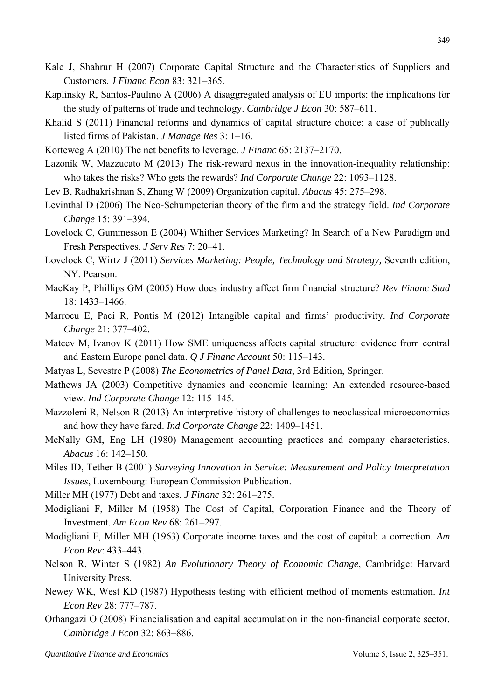- Kale J, Shahrur H (2007) Corporate Capital Structure and the Characteristics of Suppliers and Customers. *J Financ Econ* 83: 321–365.
- Kaplinsky R, Santos-Paulino A (2006) A disaggregated analysis of EU imports: the implications for the study of patterns of trade and technology. *Cambridge J Econ* 30: 587–611.
- Khalid S (2011) Financial reforms and dynamics of capital structure choice: a case of publically listed firms of Pakistan. *J Manage Res* 3: 1–16.
- Korteweg A (2010) The net benefits to leverage. *J Financ* 65: 2137–2170.
- Lazonik W, Mazzucato M (2013) The risk-reward nexus in the innovation-inequality relationship: who takes the risks? Who gets the rewards? *Ind Corporate Change* 22: 1093–1128.
- Lev B, Radhakrishnan S, Zhang W (2009) Organization capital. *Abacus* 45: 275–298.
- Levinthal D (2006) The Neo-Schumpeterian theory of the firm and the strategy field. *Ind Corporate Change* 15: 391–394.
- Lovelock C, Gummesson E (2004) Whither Services Marketing? In Search of a New Paradigm and Fresh Perspectives. *J Serv Res* 7: 20–41.
- Lovelock C, Wirtz J (2011) *Services Marketing: People, Technology and Strategy,* Seventh edition, NY. Pearson.
- MacKay P, Phillips GM (2005) How does industry affect firm financial structure? *Rev Financ Stud* 18: 1433–1466.
- Marrocu E, Paci R, Pontis M (2012) Intangible capital and firms' productivity. *Ind Corporate Change* 21: 377–402.
- Mateev M, Ivanov K (2011) How SME uniqueness affects capital structure: evidence from central and Eastern Europe panel data. *Q J Financ Account* 50: 115–143.
- Matyas L, Sevestre P (2008) *The Econometrics of Panel Data*, 3rd Edition, Springer.
- Mathews JA (2003) Competitive dynamics and economic learning: An extended resource-based view. *Ind Corporate Change* 12: 115–145.
- Mazzoleni R, Nelson R (2013) An interpretive history of challenges to neoclassical microeconomics and how they have fared. *Ind Corporate Change* 22: 1409–1451.
- McNally GM, Eng LH (1980) Management accounting practices and company characteristics. *Abacus* 16: 142–150.
- Miles ID, Tether B (2001) *Surveying Innovation in Service: Measurement and Policy Interpretation Issues*, Luxembourg: European Commission Publication.
- Miller MH (1977) Debt and taxes. *J Financ* 32: 261–275.
- Modigliani F, Miller M (1958) The Cost of Capital, Corporation Finance and the Theory of Investment. *Am Econ Rev* 68: 261–297.
- Modigliani F, Miller MH (1963) Corporate income taxes and the cost of capital: a correction. *Am Econ Rev*: 433–443.
- Nelson R, Winter S (1982) *An Evolutionary Theory of Economic Change*, Cambridge: Harvard University Press.
- Newey WK, West KD (1987) Hypothesis testing with efficient method of moments estimation. *Int Econ Rev* 28: 777–787.
- Orhangazi O (2008) Financialisation and capital accumulation in the non-financial corporate sector. *Cambridge J Econ* 32: 863–886.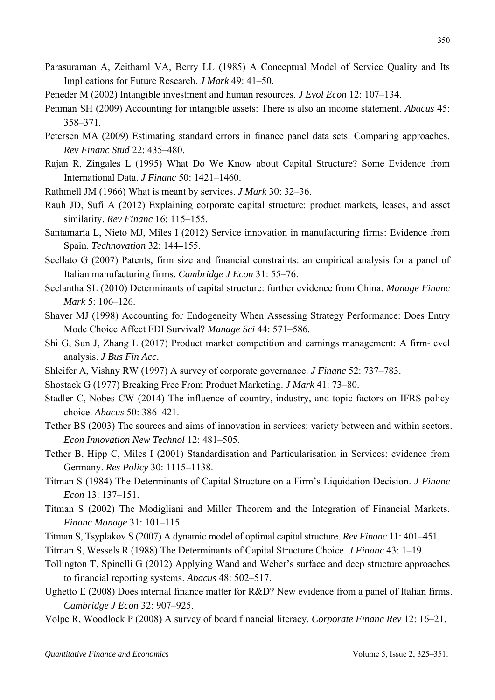- Parasuraman A, Zeithaml VA, Berry LL (1985) A Conceptual Model of Service Quality and Its Implications for Future Research. *J Mark* 49: 41–50.
- Peneder M (2002) Intangible investment and human resources. *J Evol Econ* 12: 107–134.
- Penman SH (2009) Accounting for intangible assets: There is also an income statement. *Abacus* 45: 358–371.
- Petersen MA (2009) Estimating standard errors in finance panel data sets: Comparing approaches. *Rev Financ Stud* 22: 435–480.
- Rajan R, Zingales L (1995) What Do We Know about Capital Structure? Some Evidence from International Data. *J Financ* 50: 1421–1460.
- Rathmell JM (1966) What is meant by services. *J Mark* 30: 32–36.
- Rauh JD, Sufi A (2012) Explaining corporate capital structure: product markets, leases, and asset similarity. *Rev Financ* 16: 115–155.
- Santamaría L, Nieto MJ, Miles I (2012) Service innovation in manufacturing firms: Evidence from Spain. *Technovation* 32: 144–155.
- Scellato G (2007) Patents, firm size and financial constraints: an empirical analysis for a panel of Italian manufacturing firms. *Cambridge J Econ* 31: 55–76.
- Seelantha SL (2010) Determinants of capital structure: further evidence from China. *Manage Financ Mark* 5: 106–126.
- Shaver MJ (1998) Accounting for Endogeneity When Assessing Strategy Performance: Does Entry Mode Choice Affect FDI Survival? *Manage Sci* 44: 571–586.
- Shi G, Sun J, Zhang L (2017) Product market competition and earnings management: A firm-level analysis. *J Bus Fin Acc*.
- Shleifer A, Vishny RW (1997) A survey of corporate governance. *J Financ* 52: 737–783.
- Shostack G (1977) Breaking Free From Product Marketing. *J Mark* 41: 73–80.
- Stadler C, Nobes CW (2014) The influence of country, industry, and topic factors on IFRS policy choice. *Abacus* 50: 386–421.
- Tether BS (2003) The sources and aims of innovation in services: variety between and within sectors. *Econ Innovation New Technol* 12: 481–505.
- Tether B, Hipp C, Miles I (2001) Standardisation and Particularisation in Services: evidence from Germany. *Res Policy* 30: 1115–1138.
- Titman S (1984) The Determinants of Capital Structure on a Firm's Liquidation Decision. *J Financ Econ* 13: 137–151.
- Titman S (2002) The Modigliani and Miller Theorem and the Integration of Financial Markets. *Financ Manage* 31: 101–115.
- Titman S, Tsyplakov S (2007) A dynamic model of optimal capital structure. *Rev Financ* 11: 401–451.
- Titman S, Wessels R (1988) The Determinants of Capital Structure Choice. *J Financ* 43: 1–19.
- Tollington T, Spinelli G (2012) Applying Wand and Weber's surface and deep structure approaches to financial reporting systems. *Abacus* 48: 502–517.
- Ughetto E (2008) Does internal finance matter for R&D? New evidence from a panel of Italian firms. *Cambridge J Econ* 32: 907–925.
- Volpe R, Woodlock P (2008) A survey of board financial literacy. *Corporate Financ Rev* 12: 16–21.